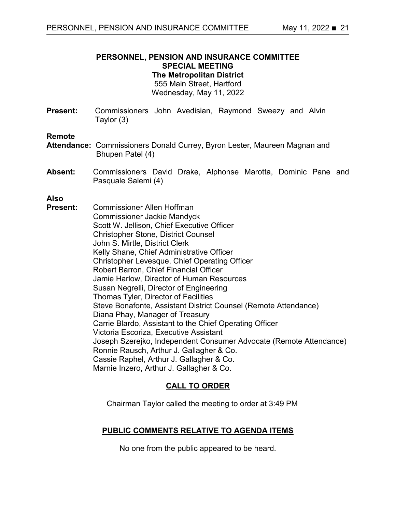# **PERSONNEL, PENSION AND INSURANCE COMMITTEE SPECIAL MEETING The Metropolitan District**

555 Main Street, Hartford Wednesday, May 11, 2022

**Present:** Commissioners John Avedisian, Raymond Sweezy and Alvin Taylor (3)

#### **Remote**

- **Attendance:** Commissioners Donald Currey, Byron Lester, Maureen Magnan and Bhupen Patel (4)
- **Absent:** Commissioners David Drake, Alphonse Marotta, Dominic Pane and Pasquale Salemi (4)

#### **Also**

**Present:** Commissioner Allen Hoffman Commissioner Jackie Mandyck Scott W. Jellison, Chief Executive Officer Christopher Stone, District Counsel John S. Mirtle, District Clerk Kelly Shane, Chief Administrative Officer Christopher Levesque, Chief Operating Officer Robert Barron, Chief Financial Officer Jamie Harlow, Director of Human Resources Susan Negrelli, Director of Engineering Thomas Tyler, Director of Facilities Steve Bonafonte, Assistant District Counsel (Remote Attendance) Diana Phay, Manager of Treasury Carrie Blardo, Assistant to the Chief Operating Officer Victoria Escoriza, Executive Assistant Joseph Szerejko, Independent Consumer Advocate (Remote Attendance) Ronnie Rausch, Arthur J. Gallagher & Co. Cassie Raphel, Arthur J. Gallagher & Co. Marnie Inzero, Arthur J. Gallagher & Co.

# **CALL TO ORDER**

Chairman Taylor called the meeting to order at 3:49 PM

## **PUBLIC COMMENTS RELATIVE TO AGENDA ITEMS**

No one from the public appeared to be heard.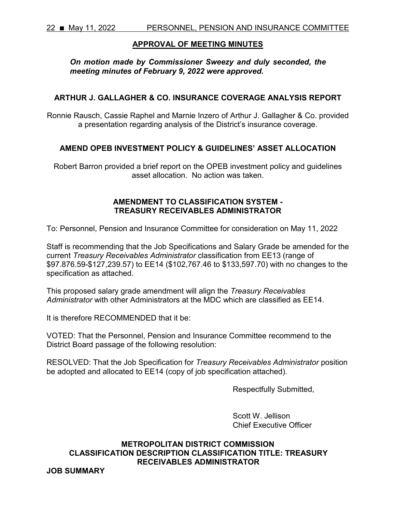## **APPROVAL OF MEETING MINUTES**

*On motion made by Commissioner Sweezy and duly seconded, the meeting minutes of February 9, 2022 were approved.* 

## **ARTHUR J. GALLAGHER & CO. INSURANCE COVERAGE ANALYSIS REPORT**

Ronnie Rausch, Cassie Raphel and Marnie Inzero of Arthur J. Gallagher & Co. provided a presentation regarding analysis of the District's insurance coverage.

## **AMEND OPEB INVESTMENT POLICY & GUIDELINES' ASSET ALLOCATION**

Robert Barron provided a brief report on the OPEB investment policy and guidelines asset allocation. No action was taken.

## **AMENDMENT TO CLASSIFICATION SYSTEM - TREASURY RECEIVABLES ADMINISTRATOR**

To: Personnel, Pension and Insurance Committee for consideration on May 11, 2022

Staff is recommending that the Job Specifications and Salary Grade be amended for the current *Treasury Receivables Administrator* classification from EE13 (range of \$97.876.59-\$127,239.57) to EE14 (\$102,767.46 to \$133,597.70) with no changes to the specification as attached.

This proposed salary grade amendment will align the *Treasury Receivables Administrator* with other Administrators at the MDC which are classified as EE14.

It is therefore RECOMMENDED that it be:

VOTED: That the Personnel, Pension and Insurance Committee recommend to the District Board passage of the following resolution:

RESOLVED: That the Job Specification for *Treasury Receivables Administrator* position be adopted and allocated to EE14 (copy of job specification attached).

Respectfully Submitted,

Scott W. Jellison Chief Executive Officer

# **METROPOLITAN DISTRICT COMMISSION CLASSIFICATION DESCRIPTION CLASSIFICATION TITLE: TREASURY RECEIVABLES ADMINISTRATOR**

**JOB SUMMARY**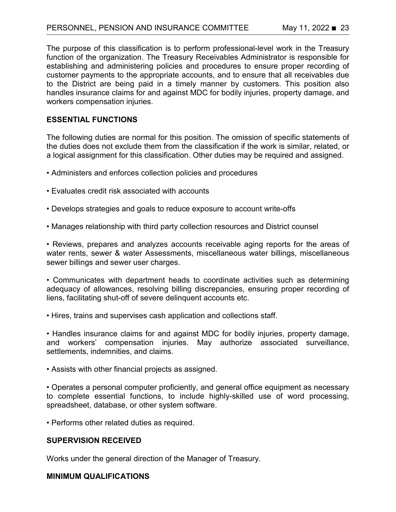The purpose of this classification is to perform professional-level work in the Treasury function of the organization. The Treasury Receivables Administrator is responsible for establishing and administering policies and procedures to ensure proper recording of customer payments to the appropriate accounts, and to ensure that all receivables due to the District are being paid in a timely manner by customers. This position also handles insurance claims for and against MDC for bodily injuries, property damage, and workers compensation injuries.

#### **ESSENTIAL FUNCTIONS**

The following duties are normal for this position. The omission of specific statements of the duties does not exclude them from the classification if the work is similar, related, or a logical assignment for this classification. Other duties may be required and assigned.

- Administers and enforces collection policies and procedures
- Evaluates credit risk associated with accounts
- Develops strategies and goals to reduce exposure to account write-offs
- Manages relationship with third party collection resources and District counsel

• Reviews, prepares and analyzes accounts receivable aging reports for the areas of water rents, sewer & water Assessments, miscellaneous water billings, miscellaneous sewer billings and sewer user charges.

• Communicates with department heads to coordinate activities such as determining adequacy of allowances, resolving billing discrepancies, ensuring proper recording of liens, facilitating shut-off of severe delinquent accounts etc.

• Hires, trains and supervises cash application and collections staff.

• Handles insurance claims for and against MDC for bodily injuries, property damage, and workers' compensation injuries. May authorize associated surveillance, settlements, indemnities, and claims.

• Assists with other financial projects as assigned.

• Operates a personal computer proficiently, and general office equipment as necessary to complete essential functions, to include highly-skilled use of word processing, spreadsheet, database, or other system software.

• Performs other related duties as required.

#### **SUPERVISION RECEIVED**

Works under the general direction of the Manager of Treasury.

#### **MINIMUM QUALIFICATIONS**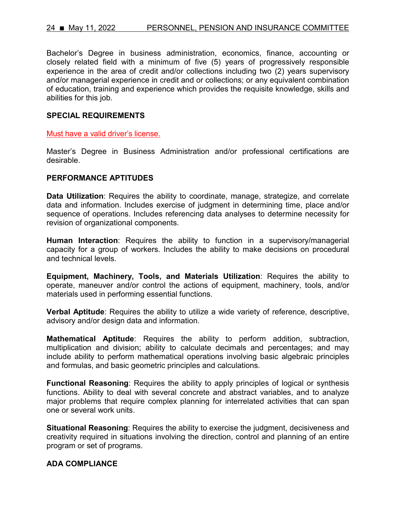Bachelor's Degree in business administration, economics, finance, accounting or closely related field with a minimum of five (5) years of progressively responsible experience in the area of credit and/or collections including two (2) years supervisory and/or managerial experience in credit and or collections; or any equivalent combination of education, training and experience which provides the requisite knowledge, skills and abilities for this job.

#### **SPECIAL REQUIREMENTS**

Must have a valid driver's license.

Master's Degree in Business Administration and/or professional certifications are desirable.

#### **PERFORMANCE APTITUDES**

**Data Utilization**: Requires the ability to coordinate, manage, strategize, and correlate data and information. Includes exercise of judgment in determining time, place and/or sequence of operations. Includes referencing data analyses to determine necessity for revision of organizational components.

**Human Interaction**: Requires the ability to function in a supervisory/managerial capacity for a group of workers. Includes the ability to make decisions on procedural and technical levels.

**Equipment, Machinery, Tools, and Materials Utilization**: Requires the ability to operate, maneuver and/or control the actions of equipment, machinery, tools, and/or materials used in performing essential functions.

**Verbal Aptitude**: Requires the ability to utilize a wide variety of reference, descriptive, advisory and/or design data and information.

**Mathematical Aptitude**: Requires the ability to perform addition, subtraction, multiplication and division; ability to calculate decimals and percentages; and may include ability to perform mathematical operations involving basic algebraic principles and formulas, and basic geometric principles and calculations.

**Functional Reasoning**: Requires the ability to apply principles of logical or synthesis functions. Ability to deal with several concrete and abstract variables, and to analyze major problems that require complex planning for interrelated activities that can span one or several work units.

**Situational Reasoning**: Requires the ability to exercise the judgment, decisiveness and creativity required in situations involving the direction, control and planning of an entire program or set of programs.

## **ADA COMPLIANCE**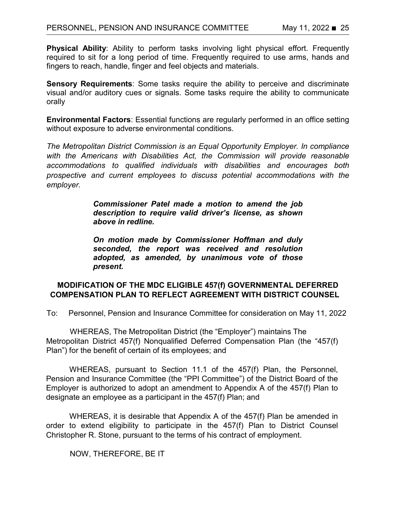**Physical Ability**: Ability to perform tasks involving light physical effort. Frequently required to sit for a long period of time. Frequently required to use arms, hands and fingers to reach, handle, finger and feel objects and materials.

**Sensory Requirements**: Some tasks require the ability to perceive and discriminate visual and/or auditory cues or signals. Some tasks require the ability to communicate orally

**Environmental Factors**: Essential functions are regularly performed in an office setting without exposure to adverse environmental conditions.

*The Metropolitan District Commission is an Equal Opportunity Employer. In compliance with the Americans with Disabilities Act, the Commission will provide reasonable accommodations to qualified individuals with disabilities and encourages both prospective and current employees to discuss potential accommodations with the employer.*

> *Commissioner Patel made a motion to amend the job description to require valid driver's license, as shown above in redline.*

> *On motion made by Commissioner Hoffman and duly seconded, the report was received and resolution adopted, as amended, by unanimous vote of those present.*

## **MODIFICATION OF THE MDC ELIGIBLE 457(f) GOVERNMENTAL DEFERRED COMPENSATION PLAN TO REFLECT AGREEMENT WITH DISTRICT COUNSEL**

To: Personnel, Pension and Insurance Committee for consideration on May 11, 2022

WHEREAS, The Metropolitan District (the "Employer") maintains The Metropolitan District 457(f) Nonqualified Deferred Compensation Plan (the "457(f) Plan") for the benefit of certain of its employees; and

WHEREAS, pursuant to Section 11.1 of the 457(f) Plan, the Personnel, Pension and Insurance Committee (the "PPI Committee") of the District Board of the Employer is authorized to adopt an amendment to Appendix A of the 457(f) Plan to designate an employee as a participant in the 457(f) Plan; and

WHEREAS, it is desirable that Appendix A of the 457(f) Plan be amended in order to extend eligibility to participate in the 457(f) Plan to District Counsel Christopher R. Stone, pursuant to the terms of his contract of employment.

NOW, THEREFORE, BE IT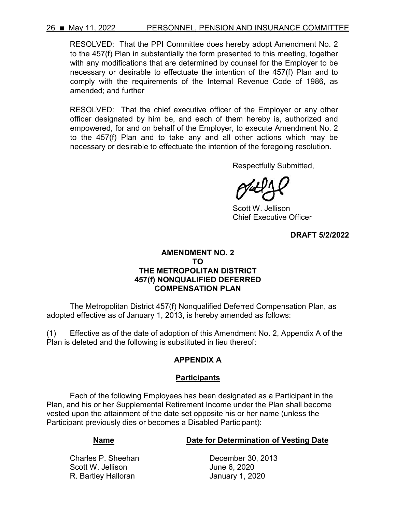## 26 ■ May 11, 2022 PERSONNEL, PENSION AND INSURANCE COMMITTEE

RESOLVED: That the PPI Committee does hereby adopt Amendment No. 2 to the 457(f) Plan in substantially the form presented to this meeting, together with any modifications that are determined by counsel for the Employer to be necessary or desirable to effectuate the intention of the 457(f) Plan and to comply with the requirements of the Internal Revenue Code of 1986, as amended; and further

RESOLVED: That the chief executive officer of the Employer or any other officer designated by him be, and each of them hereby is, authorized and empowered, for and on behalf of the Employer, to execute Amendment No. 2 to the 457(f) Plan and to take any and all other actions which may be necessary or desirable to effectuate the intention of the foregoing resolution.

Respectfully Submitted,

Scott W. Jellison Chief Executive Officer

**DRAFT 5/2/2022**

#### **AMENDMENT NO. 2 TO THE METROPOLITAN DISTRICT 457(f) NONQUALIFIED DEFERRED COMPENSATION PLAN**

The Metropolitan District 457(f) Nonqualified Deferred Compensation Plan, as adopted effective as of January 1, 2013, is hereby amended as follows:

(1) Effective as of the date of adoption of this Amendment No. 2, Appendix A of the Plan is deleted and the following is substituted in lieu thereof:

# **APPENDIX A**

## **Participants**

Each of the following Employees has been designated as a Participant in the Plan, and his or her Supplemental Retirement Income under the Plan shall become vested upon the attainment of the date set opposite his or her name (unless the Participant previously dies or becomes a Disabled Participant):

## **Name Case Constructs Date for Determination of Vesting Date**

Charles P. Sheehan December 30, 2013 Scott W. Jellison **Canadian Control Control** June 6, 2020 R. Bartley Halloran **Internal Communist Control** January 1, 2020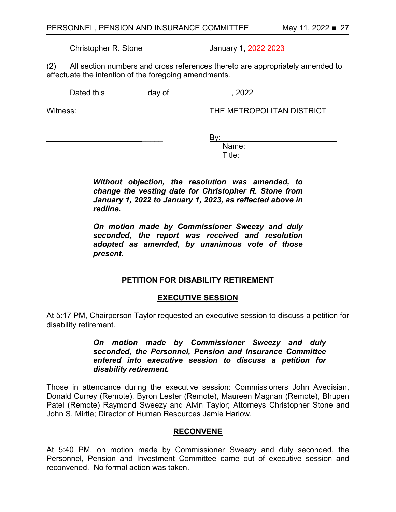Christopher R. Stone January 1, 2022 2023

(2) All section numbers and cross references thereto are appropriately amended to effectuate the intention of the foregoing amendments.

Dated this day of the case of the set of the set of the set of the set of the set of the case of the set of the set of the set of the set of the set of the set of the set of the set of the set of the set of the set of the

Witness: THE METROPOLITAN DISTRICT

 $\qquad \qquad \text{By:}$ 

 Name: Title:

> *Without objection, the resolution was amended, to change the vesting date for Christopher R. Stone from January 1, 2022 to January 1, 2023, as reflected above in redline.*

> *On motion made by Commissioner Sweezy and duly seconded, the report was received and resolution adopted as amended, by unanimous vote of those present.*

# **PETITION FOR DISABILITY RETIREMENT**

## **EXECUTIVE SESSION**

At 5:17 PM, Chairperson Taylor requested an executive session to discuss a petition for disability retirement.

> *On motion made by Commissioner Sweezy and duly seconded, the Personnel, Pension and Insurance Committee entered into executive session to discuss a petition for disability retirement.*

Those in attendance during the executive session: Commissioners John Avedisian, Donald Currey (Remote), Byron Lester (Remote), Maureen Magnan (Remote), Bhupen Patel (Remote) Raymond Sweezy and Alvin Taylor; Attorneys Christopher Stone and John S. Mirtle; Director of Human Resources Jamie Harlow.

## **RECONVENE**

At 5:40 PM, on motion made by Commissioner Sweezy and duly seconded, the Personnel, Pension and Investment Committee came out of executive session and reconvened. No formal action was taken.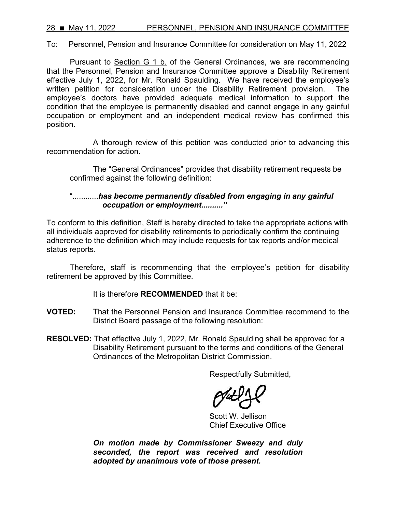28 ■ May 11, 2022 PERSONNEL, PENSION AND INSURANCE COMMITTEE

To: Personnel, Pension and Insurance Committee for consideration on May 11, 2022

Pursuant to Section G 1 b. of the General Ordinances, we are recommending that the Personnel, Pension and Insurance Committee approve a Disability Retirement effective July 1, 2022, for Mr. Ronald Spaulding. We have received the employee's written petition for consideration under the Disability Retirement provision. The employee's doctors have provided adequate medical information to support the condition that the employee is permanently disabled and cannot engage in any gainful occupation or employment and an independent medical review has confirmed this position.

A thorough review of this petition was conducted prior to advancing this recommendation for action.

The "General Ordinances" provides that disability retirement requests be confirmed against the following definition:

# "............*has become permanently disabled from engaging in any gainful occupation or employment.........."*

To conform to this definition, Staff is hereby directed to take the appropriate actions with all individuals approved for disability retirements to periodically confirm the continuing adherence to the definition which may include requests for tax reports and/or medical status reports.

Therefore, staff is recommending that the employee's petition for disability retirement be approved by this Committee.

#### It is therefore **RECOMMENDED** that it be:

- **VOTED:** That the Personnel Pension and Insurance Committee recommend to the District Board passage of the following resolution:
- **RESOLVED:** That effective July 1, 2022, Mr. Ronald Spaulding shall be approved for a Disability Retirement pursuant to the terms and conditions of the General Ordinances of the Metropolitan District Commission.

Respectfully Submitted,

Scott W. Jellison Chief Executive Office

*On motion made by Commissioner Sweezy and duly seconded, the report was received and resolution adopted by unanimous vote of those present.*